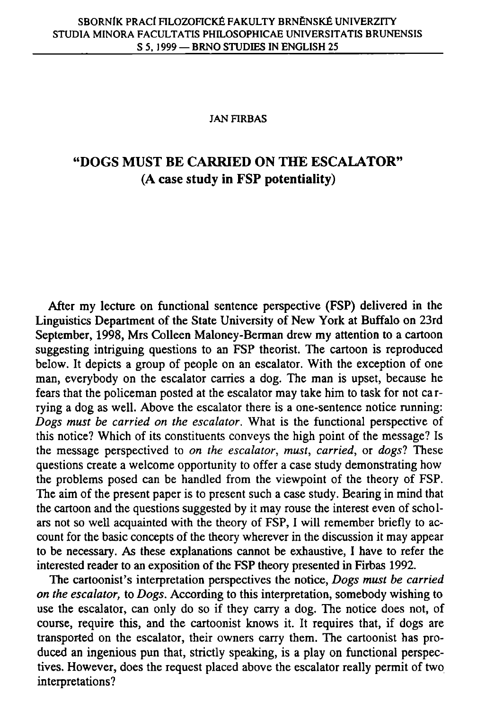### **JAN FIRBAS**

# **"DOGS MUST BE CARRIED ON THE ESCALATOR" (A case study in FSP potentiality)**

After my lecture on functional sentence perspective (FSP) delivered in the Linguistics Department of the State University of New York at Buffalo on 23rd September, 1998, Mrs Colleen Maloney-Berman drew my attention to a cartoon suggesting intriguing questions to an FSP theorist. The cartoon is reproduced below. It depicts a group of people on an escalator. With the exception of one man, everybody on the escalator carries a dog. The man is upset, because he fears that the policeman posted at the escalator may take him to task for not carrying a dog as well. Above the escalator there is a one-sentence notice running: *Dogs must be carried on the escalator.* What is the functional perspective of this notice? Which of its constituents conveys the high point of the message? Is the message perspectived to *on the escalator, must, carried,* or *dogs?* These questions create a welcome opportunity to offer a case study demonstrating how the problems posed can be handled from the viewpoint of the theory of FSP. The aim of the present paper is to present such a case study. Bearing in mind that the cartoon and the questions suggested by it may rouse the interest even of scholars not so well acquainted with the theory of FSP, I will remember briefly to account for the basic concepts of the theory wherever in the discussion it may appear to be necessary. As these explanations cannot be exhaustive, I have to refer the interested reader to an exposition of the FSP theory presented in Firbas 1992.

The cartoonist's interpretation perspectives the notice, *Dogs must be carried on the escalator,* to *Dogs.* According to this interpretation, somebody wishing to use the escalator, can only do so if they carry a dog. The notice does not, of course, require this, and the cartoonist knows it. It requires that, if dogs are transported on the escalator, their owners carry them. The cartoonist has produced an ingenious pun that, strictly speaking, is a play on functional perspectives. However, does the request placed above the escalator really permit of two interpretations?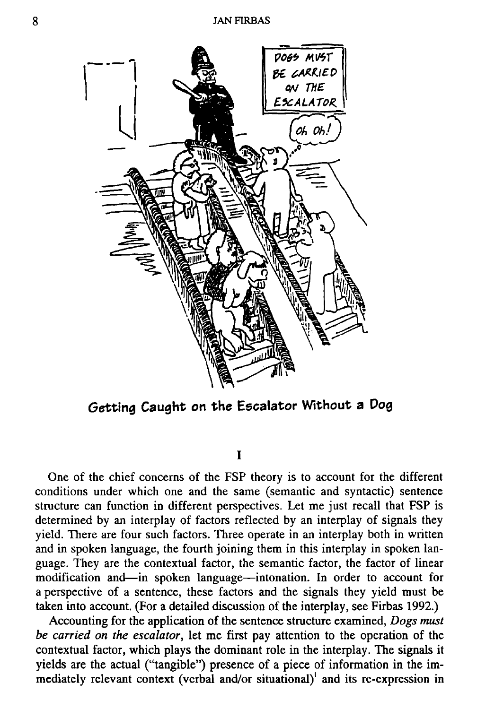

**Getting Caught on the Escalator Without a Dog** 

**I** 

One of the chief concerns of the FSP theory is to account for the different conditions under which one and the same (semantic and syntactic) sentence structure can function in different perspectives. Let me just recall that FSP is determined by an interplay of factors reflected by an interplay of signals they yield. There are four such factors. Three operate in an interplay both in written and in spoken language, the fourth joining them in this interplay in spoken language. They are the contextual factor, the semantic factor, the factor of linear modification and—in spoken language—intonation. In order to account for a perspective of a sentence, these factors and the signals they yield must be taken into account. (For a detailed discussion of the interplay, see Firbas 1992.)

Accounting for the application of the sentence structure examined, *Dogs must be carried on the escalator,* let me first pay attention to the operation of the contextual factor, which plays the dominant role in the interplay. The signals it yields are the actual ("tangible") presence of a piece of information in the immediately relevant context (verbal and/or situational)' and its re-expression in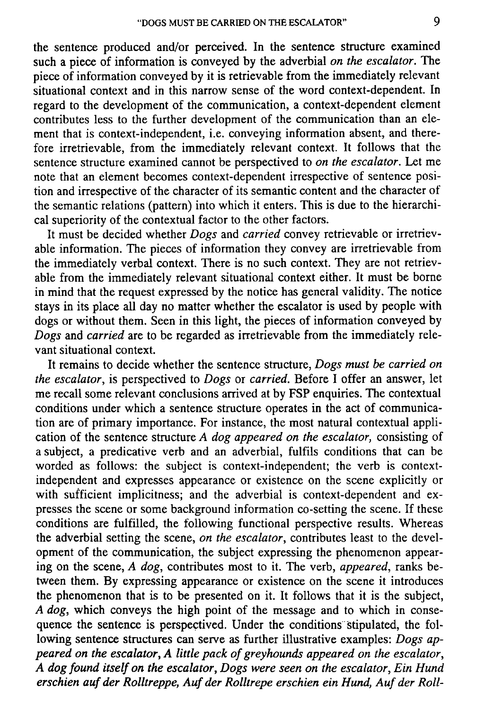the sentence produced and/or perceived. In the sentence structure examined such a piece of information is conveyed by the adverbial *on the escalator.* The piece of information conveyed by it is retrievable from the immediately relevant situational context and in this narrow sense of the word context-dependent. In regard to the development of the communication, a context-dependent element contributes less to the further development of the communication than an element that is context-independent, i.e. conveying information absent, and therefore irretrievable, from the immediately relevant context. It follows that the sentence structure examined cannot be perspectived to *on the escalator.* Let me note that an element becomes context-dependent irrespective of sentence position and irrespective of the character of its semantic content and the character of the semantic relations (pattern) into which it enters. This is due to the hierarchical superiority of the contextual factor to the other factors.

It must be decided whether *Dogs* and *carried* convey retrievable or irretrievable information. The pieces of information they convey are irretrievable from the immediately verbal context. There is no such context. They are not retrievable from the immediately relevant situational context either. It must be borne in mind that the request expressed by the notice has general validity. The notice stays in its place all day no matter whether the escalator is used by people with dogs or without them. Seen in this light, the pieces of information conveyed by *Dogs* and *carried* are to be regarded as irretrievable from the immediately relevant situational context.

It remains to decide whether the sentence structure, *Dogs must be carried on the escalator,* is perspectived to *Dogs* or *carried.* Before I offer an answer, let me recall some relevant conclusions arrived at by FSP enquiries. The contextual conditions under which a sentence structure operates in the act of communication are of primary importance. For instance, the most natural contextual application of the sentence structure *A dog appeared on the escalator,* consisting of a subject, a predicative verb and an adverbial, fulfils conditions that can be worded as follows: the subject is context-independent; the verb is contextindependent and expresses appearance or existence on the scene explicitly or with sufficient implicitness; and the adverbial is context-dependent and expresses the scene or some background information co-setting the scene. If these conditions are fulfilled, the following functional perspective results. Whereas the adverbial setting the scene, *on the escalator,* contributes least to the development of the communication, the subject expressing the phenomenon appearing on the scene, *A dog,* contributes most to it. The verb, *appeared,* ranks between them. By expressing appearance or existence on the scene it introduces the phenomenon that is to be presented on it. It follows that it is the subject, *A dog,* which conveys the high point of the message and to which in consequence the sentence is perspectived. Under the conditions stipulated, the following sentence structures can serve as further illustrative examples: *Dogs appeared on the escalator, A little pack of greyhounds appeared on the escalator, A dog found itself on the escalator, Dogs were seen on the escalator, Ein Hund erschien auf der Rolltreppe, Auf der Rolltrepe erschien ein Hund, Auf der Roll-*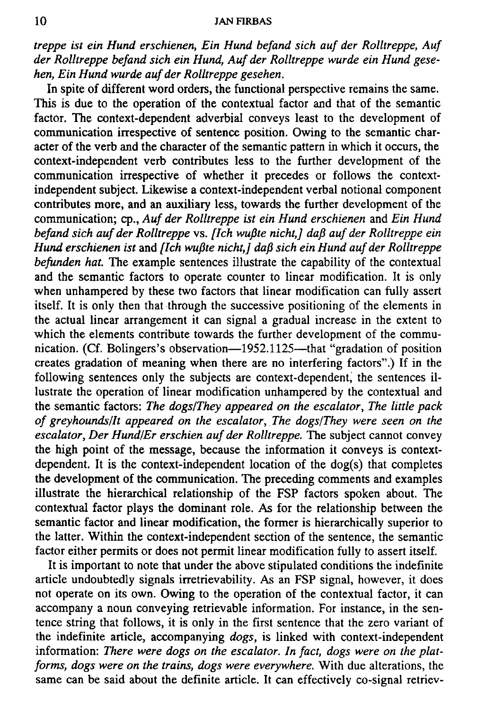### **10 JAN FIRBAS**

*treppe ist ein Hund erschienen, Ein Hund befand sich auf der Rolltreppe, Auf der Rolltreppe befand sich ein Hund, Auf der Rolltreppe wurde ein Hund gesehen, Ein Hund wurde auf der Rolltreppe gesehen.* 

In spite of different word orders, the functional perspective remains the same. This is due to the operation of the contextual factor and that of the semantic factor. The context-dependent adverbial conveys least to the development of communication irrespective of sentence position. Owing to the semantic character of the verb and the character of the semantic pattern in which it occurs, the context-independent verb contributes less to the further development of the communication irrespective of whether it precedes or follows the contextindependent subject. Likewise a context-independent verbal notional component contributes more, and an auxiliary less, towards the further development of the communication; cp., *Auf der Rolltreppe ist ein Hund erschienen* and *Ein Hund befand sich auf der Rolltreppe* vs. *[Ich wufite nicht,] daft auf der Rolltreppe ein Hund erschienen ist* and *[Ich wufite nicht,] daft sich ein Hund auf der Rolltreppe*  **befunden hat.** The example sentences illustrate the capability of the contextual and the semantic factors to operate counter to linear modification. It is only when unhampered by these two factors that linear modification can fully assert itself. It is only then that through the successive positioning of the elements in the actual linear arrangement it can signal a gradual increase in the extent to which the elements contribute towards the further development of the communication. (Cf. Bolingers's observation—1952.1125—that "gradation of position creates gradation of meaning when there are no interfering factors".) If in the following sentences only the subjects are context-dependent, the sentences illustrate the operation of linear modification unhampered by the contextual and the semantic factors: *The dogs/They appeared on the escalator, The little pack of greyhounds/It appeared on the escalator, The dogs/They were seen on the escalator, Der Hund/Er erschien auf der Rolltreppe.* The subject cannot convey the high point of the message, because the information it conveys is contextdependent. It is the context-independent location of the dog(s) that completes the development of the communication. The preceding comments and examples illustrate the hierarchical relationship of the FSP factors spoken about. The contextual factor plays the dominant role. As for the relationship between the semantic factor and linear modification, the former is hierarchically superior to the latter. Within the context-independent section of the sentence, the semantic factor either permits or does not permit linear modification fully to assert itself.

It is important to note that under the above stipulated conditions the indefinite article undoubtedly signals irretrievability. As an FSP signal, however, it does not operate on its own. Owing to the operation of the contextual factor, it can accompany a noun conveying retrievable information. For instance, in the sentence string that follows, it is only in the first sentence that the zero variant of the indefinite article, accompanying *dogs,* is linked with context-independent information: *There were dogs on the escalator. In fact, dogs were on the platforms, dogs were on the trains, dogs were everywhere.* With due alterations, the same can be said about the definite article. It can effectively co-signal retriev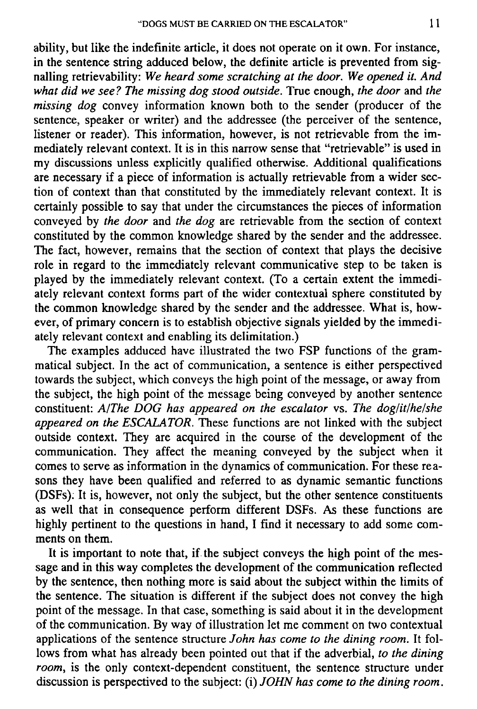ability, but like the indefinite article, it does not operate on it own. For instance, in the sentence string adduced below, the definite article is prevented from signalling retrievability: *We heard some scratching at the door. We opened it. And what did we see? The missing dog stood outside.* True enough, *the door* and *the missing dog* convey information known both to the sender (producer of the sentence, speaker or writer) and the addressee (the perceiver of the sentence, listener or reader). This information, however, is not retrievable from the immediately relevant context. It is in this narrow sense that "retrievable" is used in my discussions unless explicitly qualified otherwise. Additional qualifications are necessary if a piece of information is actually retrievable from a wider section of context than that constituted by the immediately relevant context. It is certainly possible to say that under the circumstances the pieces of information conveyed by *the door* and *the dog* are retrievable from the section of context constituted by the common knowledge shared by the sender and the addressee. The fact, however, remains that the section of context that plays the decisive role in regard to the immediately relevant communicative step to be taken is played by the immediately relevant context. (To a certain extent the immediately relevant context forms part of the wider contextual sphere constituted by the common knowledge shared by the sender and the addressee. What is, however, of primary concern is to establish objective signals yielded by the immediately relevant context and enabling its delimitation.)

The examples adduced have illustrated the two FSP functions of the grammatical subject. In the act of communication, a sentence is either perspectived towards the subject, which conveys the high point of the message, or away from the subject, the high point of the message being conveyed by another sentence constituent: *A/The DOG has appeared on the escalator* vs. *The doglitlhelshe appeared on the ESCALATOR.* These functions are not linked with the subject outside context. They are acquired in the course of the development of the communication. They affect the meaning conveyed by the subject when it comes to serve as information in the dynamics of communication. For these reasons they have been qualified and referred to as dynamic semantic functions (DSFs); It is, however, not only the subject, but the other sentence constituents as well that in consequence perform different DSFs. As these functions are highly pertinent to the questions in hand, I find it necessary to add some comments on them.

It is important to note that, if the subject conveys the high point of the message and in this way completes the development of the communication reflected by the sentence, then nothing more is said about the subject within the limits of the sentence. The situation is different if the subject does not convey the high point of the message. In that case, something is said about it in the development of the communication. By way of illustration let me comment on two contextual applications of the sentence structure *John has come to the dining room.* It follows from what has already been pointed out that if the adverbial, *to the dining room,* is the only context-dependent constituent, the sentence structure under discussion is perspectived to the subject: (i) *JOHN has come to the dining room.*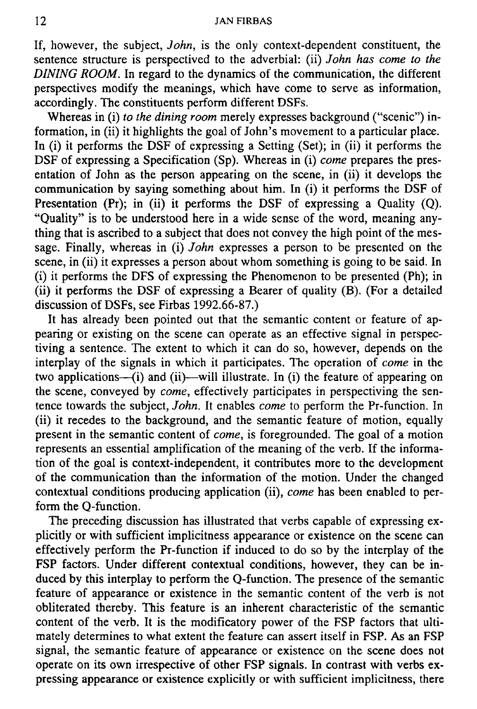If, however, the subject, *John,* is the only context-dependent constituent, the sentence structure is perspectived to the adverbial: (ii) *John has come to the DINING ROOM.* In regard to the dynamics of the communication, the different perspectives modify the meanings, which have come to serve as information, accordingly. The constituents perform different DSFs.

Whereas in (i) *to the dining room* merely expresses background ("scenic") information, in (ii) it highlights the goal of John's movement to a particular place. In (i) it performs the DSF of expressing a Setting (Set); in (ii) it performs the DSF of expressing a Specification (Sp). Whereas in (i) *come* prepares the presentation of John as the person appearing on the scene, in (ii) it develops the communication by saying something about him. In (i) it performs the DSF of Presentation (Pr); in (ii) it performs the DSF of expressing a Quality (Q). "Quality" is to be understood here in a wide sense of the word, meaning anything that is ascribed to a subject that does not convey the high point of the message. Finally, whereas in (i) *John* expresses a person to be presented on the scene, in (ii) it expresses a person about whom something is going to be said. In (i) it performs the DFS of expressing the Phenomenon to be presented (Ph); in (ii) it performs the DSF of expressing a Bearer of quality  $(B)$ . (For a detailed discussion of DSFs, see Firbas 1992.66-87.)

It has already been pointed out that the semantic content or feature of appearing or existing on the scene can operate as an effective signal in perspectiving a sentence. The extent to which it can do so, however, depends on the interplay of the signals in which it participates. The operation of *come* in the two applications—(i) and (ii)—will illustrate. In (i) the feature of appearing on the scene, conveyed by *come,* effectively participates in perspectiving the sentence towards the subject, *John.* It enables *come* to perform the Pr-function. In (ii) it recedes to the background, and the semantic feature of motion, equally present in the semantic content of *come,* is foregrounded. The goal of a motion represents an essential amplification of the meaning of the verb. If the information of the goal is context-independent, it contributes more to the development of the communication than the information of the motion. Under the changed contextual conditions producing application (ii), *come* has been enabled to perform the Q-function.

The preceding discussion has illustrated that verbs capable of expressing explicitly or with sufficient implicitness appearance or existence on the scene can effectively perform the Pr-function if induced to do so by the interplay of the FSP factors. Under different contextual conditions, however, they can be induced by this interplay to perform the Q-function. The presence of the semantic feature of appearance or existence in the semantic content of the verb is not obliterated thereby. This feature is an inherent characteristic of the semantic content of the verb. It is the modificatory power of the FSP factors that ultimately determines to what extent the feature can assert itself in FSP. As an FSP signal, the semantic feature of appearance or existence on the scene does not operate on its own irrespective of other FSP signals. In contrast with verbs expressing appearance or existence explicitly or with sufficient implicitness, there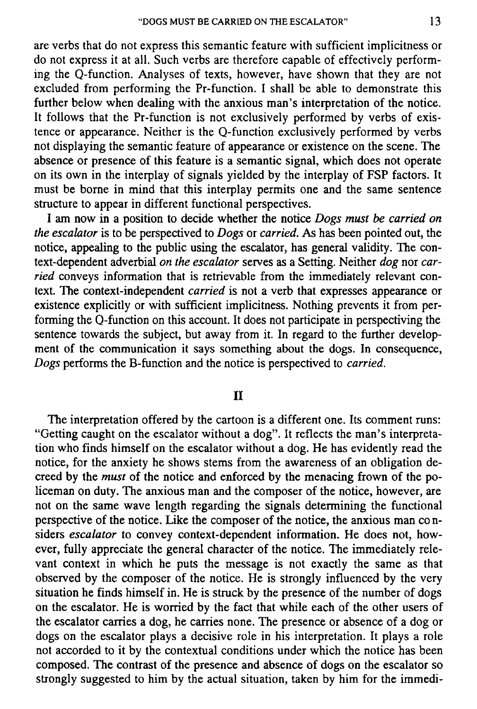are verbs that do not express this semantic feature with sufficient implicitness or do not express it at all. Such verbs are therefore capable of effectively performing the Q-function. Analyses of texts, however, have shown that they are not excluded from performing the Pr-function. I shall be able to demonstrate this further below when dealing with the anxious man's interpretation of the notice. It follows that the Pr-function is not exclusively performed by verbs of existence or appearance. Neither is the Q-function exclusively performed by verbs not displaying the semantic feature of appearance or existence on the scene. The absence or presence of this feature is a semantic signal, which does not operate on its own in the interplay of signals yielded by the interplay of FSP factors. It must be borne in mind that this interplay permits one and the same sentence structure to appear in different functional perspectives.

I am now in a position to decide whether the notice *Dogs must be carried on the escalator* is to be perspectived to *Dogs* or *carried.* As has been pointed out, the notice, appealing to the public using the escalator, has general validity. The context-dependent adverbial *on the escalator* serves as a Setting. Neither *dog* nor *carried* conveys information that is retrievable from the immediately relevant context. The context-independent *carried* is not a verb that expresses appearance or existence explicitly or with sufficient implicitness. Nothing prevents it from performing the Q-function on this account. It does not participate in perspectiving the sentence towards the subject, but away from it. In regard to the further development of the communication it says something about the dogs. In consequence, *Dogs* performs the B-function and the notice is perspectived to *carried.* 

## **II**

The interpretation offered by the cartoon is a different one. Its comment runs: "Getting caught on the escalator without a dog". It reflects the man's interpretation who finds himself on the escalator without a dog. He has evidently read the notice, for the anxiety he shows stems from the awareness of an obligation decreed by the *must* of the notice and enforced by the menacing frown of the policeman on duty. The anxious man and the composer of the notice, however, are not on the same wave length regarding the signals determining the functional perspective of the notice. Like the composer of the notice, the anxious man co nsiders *escalator* to convey context-dependent information. He does not, however, fully appreciate the general character of the notice. The immediately relevant context in which he puts the message is not exactly the same as that observed by the composer of the notice. He is strongly influenced by the very situation he finds himself in. He is struck by the presence of the number of dogs on the escalator. He is worried by the fact that while each of the other users of the escalator carries a dog, he carries none. The presence or absence of a dog or dogs on the escalator plays a decisive role in his interpretation. It plays a role not accorded to it by the contextual conditions under which the notice has been composed. The contrast of the presence and absence of dogs on the escalator so strongly suggested to him by the actual situation, taken by him for the immedi-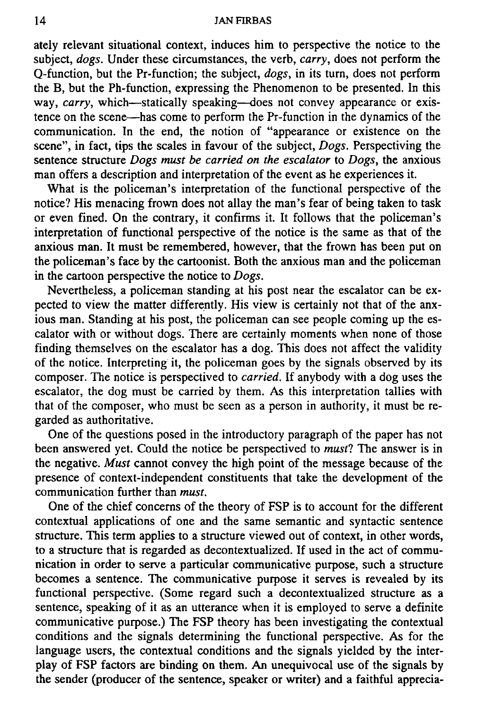#### **14 JAN FIRBAS**

ately relevant situational context, induces him to perspective the notice to the subject, *dogs.* Under these circumstances, the verb, *carry,* does not perform the Q-function, but the Pr-function; the subject, *dogs,* in its turn, does not perform the B, but the Ph-function, expressing the Phenomenon to be presented. In this way, *carry,* which—statically speaking—does not convey appearance or existence on the scene—has come to perform the Pr-function in the dynamics of the communication. In the end, the notion of "appearance or existence on the scene", in fact, tips the scales in favour of the subject, *Dogs.* Perspectiving the sentence structure *Dogs must be carried on the escalator* to *Dogs,* the anxious man offers a description and interpretation of the event as he experiences it.

What is the policeman's interpretation of the functional perspective of the notice? His menacing frown does not allay the man's fear of being taken to task or even fined. On the contrary, it confirms it. It follows that the policeman's interpretation of functional perspective of the notice is the same as that of the anxious man. It must be remembered, however, that the frown has been put on the policeman's face by the cartoonist. Both the anxious man and the policeman in the cartoon perspective the notice to *Dogs.* 

Nevertheless, a policeman standing at his post near the escalator can be expected to view the matter differently. His view is certainly not that of the anxious man. Standing at his post, the policeman can see people coming up the escalator with or without dogs. There are certainly moments when none of those finding themselves on the escalator has a dog. This does not affect the validity of the notice. Interpreting it, the policeman goes by the signals observed by its composer. The notice is perspectived to *carried.* If anybody with a dog uses the escalator, the dog must be carried by them. As this interpretation tallies with that of the composer, who must be seen as a person in authority, it must be regarded as authoritative.

One of the questions posed in the introductory paragraph of the paper has not been answered yet. Could the notice be perspectived to *must!* The answer is in the negative. *Must* cannot convey the high point of the message because of the presence of context-independent constituents that take the development of the communication further than *must.* 

One of the chief concerns of the theory of FSP is to account for the different contextual applications of one and the same semantic and syntactic sentence structure. This term applies to a structure viewed out of context, in other words, to a structure that is regarded as decontextualized. If used in the act of communication in order to serve a particular communicative purpose, such a structure becomes a sentence. The communicative purpose it serves is revealed by its functional perspective. (Some regard such a decontextualized structure as a sentence, speaking of it as an utterance when it is employed to serve a definite communicative purpose.) The FSP theory has been investigating the contextual conditions and the signals determining the functional perspective. As for the language users, the contextual conditions and the signals yielded by the interplay of FSP factors are binding on them. An unequivocal use of the signals by the sender (producer of the sentence, speaker or writer) and a faithful apprecia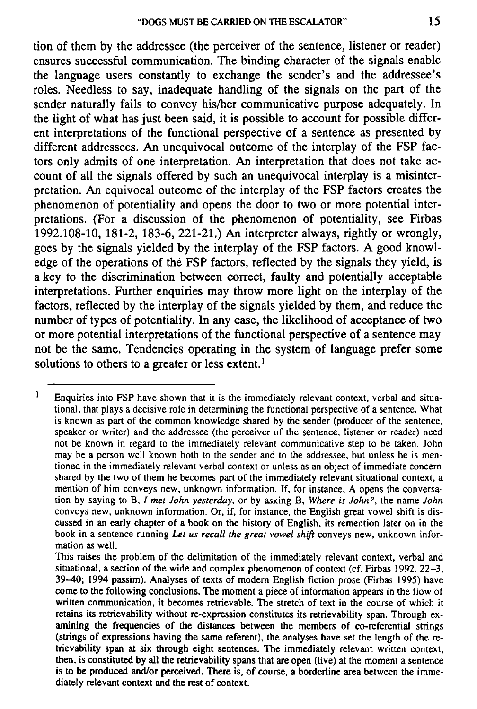tion of them by the addressee (the perceiver of the sentence, listener or reader) ensures successful communication. The binding character of the signals enable the language users constantly to exchange the sender's and the addressee's roles. Needless to say, inadequate handling of the signals on the part of the sender naturally fails to convey his/her communicative purpose adequately. In the light of what has just been said, it is possible to account for possible different interpretations of the functional perspective of a sentence as presented by different addressees. An unequivocal outcome of the interplay of the FSP factors only admits of one interpretation. An interpretation that does not take account of all the signals offered by such an unequivocal interplay is a misinterpretation. An equivocal outcome of the interplay of the FSP factors creates the phenomenon of potentiality and opens the door to two or more potential interpretations. (For a discussion of the phenomenon of potentiality, see Firbas 1992.108-10, 181-2, 183-6, 221-21.) An interpreter always, rightly or wrongly, goes by the signals yielded by the interplay of the FSP factors. A good knowledge of the operations of the FSP factors, reflected by the signals they yield, is a key to the discrimination between correct, faulty and potentially acceptable interpretations. Further enquiries may throw more light on the interplay of the factors, reflected by the interplay of the signals yielded by them, and reduce the number of types of potentiality. In any case, the likelihood of acceptance of two or more potential interpretations of the functional perspective of a sentence may not be the same. Tendencies operating in the system of language prefer some solutions to others to a greater or less extent.<sup>1</sup>

 $\mathbf{I}$ **Enquiries into FSP have shown that it is the immediately relevant context, verbal and situational, that plays a decisive role in determining the functional perspective of a sentence. What is known as part of the common knowledge shared by the sender (producer of the sentence, speaker or writer) and the addressee (the perceiver of the sentence, listener or reader) need not be known in regard to the immediately relevant communicative step to be taken. John may be a person well known both to the sender and to the addressee, but unless he is mentioned in the immediately relevant verbal context or unless as an object of immediate concern**  shared by the two of them he becomes part of the immediately relevant situational context, a **mention of him conveys new, unknown information. If, for instance, A opens the conversation by saying to B, /** *met John yesterday,* **or by asking B,** *Where is John?,* **the name** *John*  **conveys new, unknown information. Or, if, for instance, the English great vowel shift is discussed in an early chapter of a book on the history of English, its remention later on in the**  book in a sentence running Let us recall the great vowel shift conveys new, unknown infor**mation as well.** 

**This raises the problem of the delimitation of the immediately relevant context, verbal and situational, a section of the wide and complex phenomenon of context (cf. Firbas 1992. 22-3, 39-40; 1994 passim). Analyses of texts of modem English fiction prose (Firbas 1995) have come to the following conclusions. The moment a piece of information appears in the flow of written communication, it becomes retrievable. The stretch of text in the course of which it retains its retrievability without re-expression constitutes its retrievability span. Through examining the frequencies of the distances between the members of co-referential strings (strings of expressions having the same referent), the analyses have set the length of the retrievability span at six through eight sentences. The immediately relevant written context, then, is constituted by all the retrievability spans that are open (live) at the moment a sentence is to be produced and/or perceived. There is, of course, a borderline area between the immediately relevant context and the rest of context.**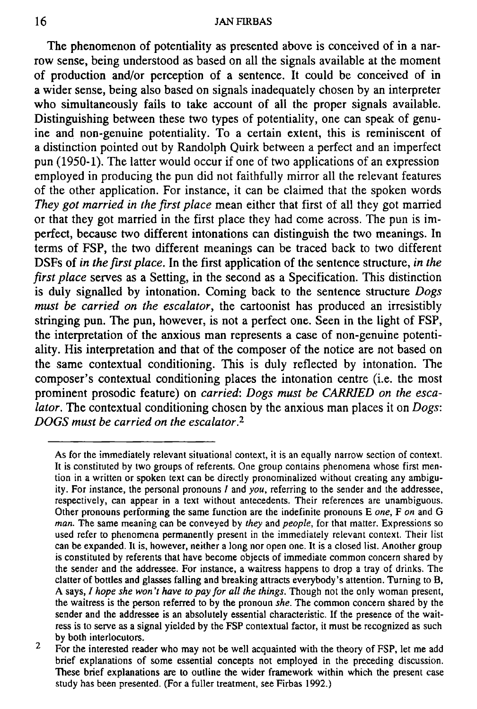The phenomenon of potentiality as presented above is conceived of in a narrow sense, being understood as based on all the signals available at the moment of production and/or perception of a sentence. It could be conceived of in a wider sense, being also based on signals inadequately chosen by an interpreter who simultaneously fails to take account of all the proper signals available. Distinguishing between these two types of potentiality, one can speak of genuine and non-genuine potentiality. To a certain extent, this is reminiscent of a distinction pointed out by Randolph Quirk between a perfect and an imperfect pun (1950-1). The latter would occur if one of two applications of an expression employed in producing the pun did not faithfully mirror all the relevant features of the other application. For instance, it can be claimed that the spoken words *They got married in the first place* mean either that first of all they got married or that they got married in the first place they had come across. The pun is imperfect, because two different intonations can distinguish the two meanings. In terms of FSP, the two different meanings can be traced back to two different DSFs of *in the first place.* In the first application of the sentence structure, *in the first place* serves as a Setting, in the second as a Specification. This distinction is duly signalled by intonation. Coming back to the sentence structure *Dogs must be carried on the escalator,* the cartoonist has produced an irresistibly stringing pun. The pun, however, is not a perfect one. Seen in the light of FSP, the interpretation of the anxious man represents a case of non-genuine potentiality. His interpretation and that of the composer of the notice are not based on the same contextual conditioning. This is duly reflected by intonation. The composer's contextual conditioning places the intonation centre (i.e. the most prominent prosodic feature) on *carried: Dogs must be CARRIED on the escalator.* The contextual conditioning chosen by the anxious man places it on *Dogs: DOGS must be carried on the escalator.<sup>2</sup>*

**As for the immediately relevant situational context, it is an equally narrow section of context. It is constituted by two groups of referents. One group contains phenomena whose first mention in a written or spoken text can be directly pronominalized without creating any ambiguity. For instance, the personal pronouns / and** *you,* **referring to the sender and the addressee, respectively, can appear in a text without antecedents. Their references are unambiguous. Other pronouns performing the same function are the indefinite pronouns E** *one,* **F** *on* **and G**  *man.* **The same meaning can be conveyed by** *they* **and** *people,* **for that matter. Expressions so**  used refer to phenomena permanently present in the immediately relevant context. Their list **can be expanded. It is, however, neither a long nor open one. It is a closed list. Another group is constituted by referents that have become objects of immediate common concern shared by the sender and the addressee. For instance, a waitress happens to drop a tray of drinks. The clatter of bottles and glasses falling and breaking attracts everybody's attention. Turning to B, A says, /** *hope she won't have to pay for all the things.* **Though not the only woman present, the waitress is the person referred to by the pronoun** *she.* **The common concern shared by the sender and the addressee is an absolutely essential characteristic. If the presence of the waitress is to serve as a signal yielded by the FSP contextual factor, it must be recognized as such by both interlocutors.** 

 $\overline{2}$ **For the interested reader who may not be well acquainted with the theory of FSP, let me add brief explanations of some essential concepts not employed in the preceding discussion. These brief explanations are to outline the wider framework within which the present case study has been presented. (For a fuller treatment, see Firbas 1992.)**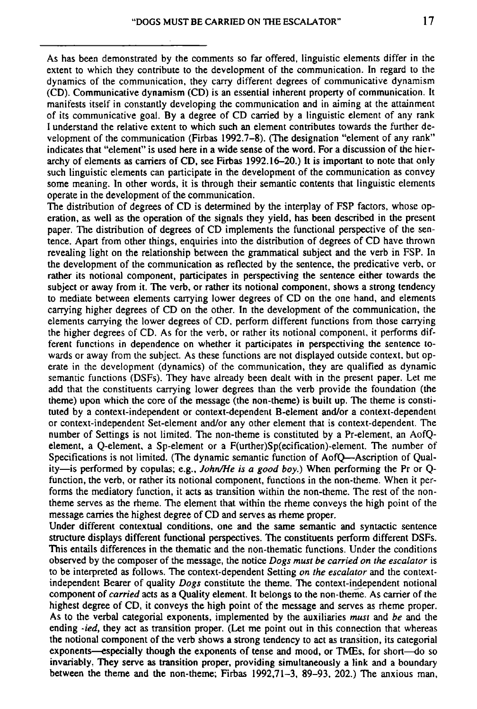**As has been demonstrated by the comments so far offered, linguistic elements differ in the extent to which they contribute to the development of the communication. In regard to the dynamics of the communication, they carry different degrees of communicative dynamism (CD). Communicative dynamism (CD) is an essential inherent property of communication. It manifests itself in constantly developing the communication and in aiming at the attainment of its communicative goal. By a degree of CD carried by a linguistic element of any rank**  I **understand the relative extent to which such an element contributes towards the further development of the communication (Firbas 1992.7-8). (The designation "element of any rank" indicates that "element" is used here in a wide sense of the word. For a discussion of the hierarchy of elements as carriers of CD, see Firbas 1992.16-20.) It is important to note that only** 

**such linguistic elements can participate in the development of the communication as convey some meaning. In other words, it is through their semantic contents that linguistic elements operate in the development of the communication.** 

**The distribution of degrees of CD is determined by the interplay of FSP factors, whose operation, as well as the operation of the signals they yield, has been described in the present paper. The distribution of degrees of CD implements the functional perspective of the sentence. Apart from other things, enquiries into the distribution of degrees of CD have thrown revealing light on the relationship between the grammatical subject and the verb in FSP. In the development of the communication as reflected by the sentence, the predicative verb, or rather its notional component, participates in perspectiving the sentence either towards the subject or away from it. The verb, or rather its notional component, shows a strong tendency to mediate between elements carrying lower degrees of CD on the one hand, and elements carrying higher degrees of CD on the other. In the development of the communication, the elements carrying the lower degrees of CD, perform different functions from those carrying the higher degrees of CD. As for the verb, or rather its notional component, it performs different functions in dependence on whether it participates in perspectiving the sentence towards or away from the subject. As these functions are not displayed outside context, but operate in the development (dynamics) of the communication, they are qualified as dynamic semantic functions (DSFs). They have already been dealt with in the present paper. Let me add that the constituents carrying lower degrees than the verb provide the foundation (the theme) upon which the core of the message (the non-theme) is built up. The theme is constituted by a context-independent or context-dependent B-element and/or a context-dependent or context-independent Set-element and/or any other element that is context-dependent. The number of Settings is not limited. The non-theme is constituted by a Pr-element, an AofQelement, a Q-element, a Sp-element or a F(urther)Sp(ecification)-element. The number of Specifications is not limited. (The dynamic semantic function of AofQ—Ascription of Quality—is performed by copulas; e.g.,** *John/He is a good boy.)* **When performing the Pr or Qfunction, the verb, or rather its notional component, functions in the non-theme. When it performs the mediatory function, it acts as transition within the non-theme. The rest of the nontheme serves as the rheme. The element that within the rheme conveys the high point of the message carries the highest degree of CD and serves as rheme proper.** 

**Under different contextual conditions, one and the same semantic and syntactic sentence structure displays different functional perspectives. The constituents perform different DSFs. This entails differences in the thematic and the non-thematic functions. Under the conditions observed by the composer of the message, the notice** *Dogs must be carried on the escalator* **is to be interpreted as follows. The context-dependent Setting** *on the escalator* **and the contextindependent Bearer of quality** *Dogs* **constitute the theme. The context-independent notional component of** *carried* **acts as a Quality element. It belongs to the non-theme. As carrier of the**  component of *carriea* acts as a Quanty element. It belongs to the non-theme. As carrier of the<br>bighest degree of CD, it conveys the high point of the message and serves as rheme proper. highest degree of CD, it conveys the high point of the message and serves as rheme proper. As to the verbal categorial exponents, implemented by the auxiliaries *must* and be and the ending *-ied*, they act as transition proper. (Let me point out in this connection that whereas the notional component of the verb shows a strong tendency to act as transition, its categorial exponents—especially though the exponents of tense and mood, or TMEs, for short—do so **between the theme and the non-theme; Firbas 1992,71-3, 89-93, 202.) The anxious man,**